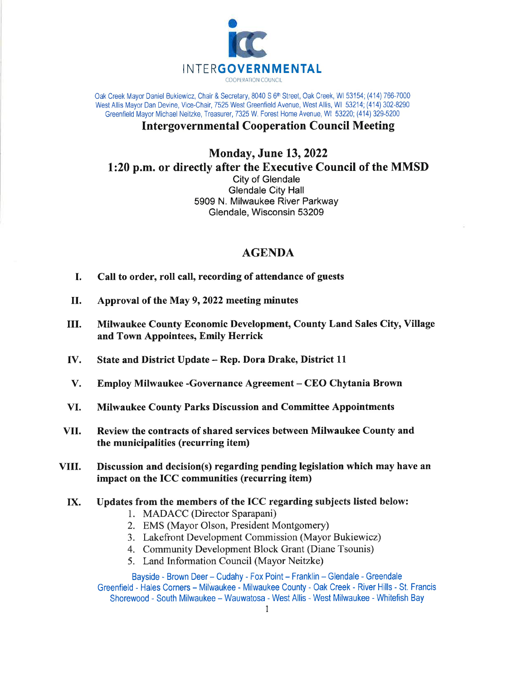

Oak Creek Mayor Daniel Bukiewicz, Chair & Secretary, 8040 S 6<sup>th</sup> Street, Oak Creek, WI 53154; (414) 766-7000 West Allis Mayor Dan Devine, Vice-Chair, 7525 West Greenfield Avenue, West Allis, WI 53214; (414) 302-8290 Greenfield Mayor Michael Neitzke, Treasurer, 7325 W. Forest Home Avenue, WI 53220; (414) 329-5200

## Intergovernmental Cooperation Council Meeting

## **Monday, June 13, 2022** 1:20 p.m. or directly after the Executive Council of the MMSD City of Glendale Glendale City Hall 5909 N. Milwaukee River Parkway

Glendale, Wisconsin 53209

## AGENDA

- I. Call to order, roll call, recording of attendance of guests
- III. Approval of the May 9, 2022 meeting minutes
- III. Milwaukee County Economic Development, County Land Sales City, Village and Town Appointees, Emily Herrick
- IV. State and District Update - Rep. Dora Drake, District LL
- V. Employ Milwaukee -Governance Agreement - CEO Chytania Brown
- VI. Milwaukee County Parks Discussion and Committee Appointments
- vII. Review the contracts of shared services between Milwaukee County and the municipalities (recurring item)
- vIII. Discussion and decision(s) regarding pending legislation which may have an impact on the ICC communities (recurring item)
	- Updates from the members of the ICC regarding subjects listed below: IX.
		- 1. MADACC (Director Sparapani)
		- 2. EMS (Mayor Olson, President Montgomery)
		- 3. Lakefront Development Commission (Mayor Bukiewicz)
		- 4. Community Development Block Grant (Diane Tsounis)
		- 5. Land Information Council (Mayor Neitzke)

Bayside - Brown Deer - Cudahy - Fox Point - Franklin - Glendale - Greendale Greenfield - Hales Corners - Milwaukee - Milwaukee County - Oak Creek - River Hills - St. Francis Shorewood - South Milwaukee - Wauwatosa - West Allis - West Milwaukee - Whitefish Bay